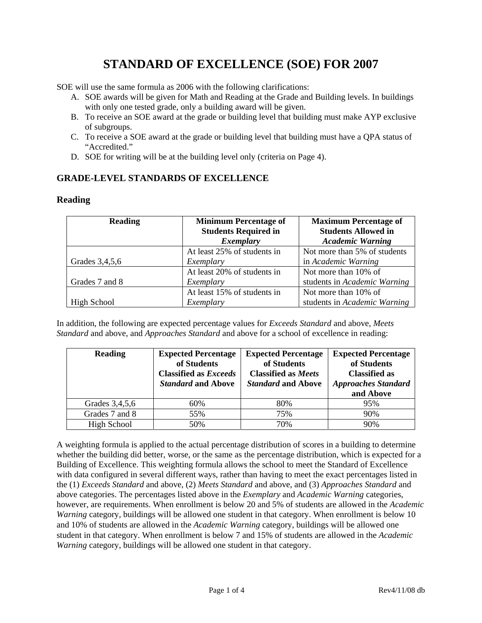# **STANDARD OF EXCELLENCE (SOE) FOR 2007**

SOE will use the same formula as 2006 with the following clarifications:

- A. SOE awards will be given for Math and Reading at the Grade and Building levels. In buildings with only one tested grade, only a building award will be given.
- B. To receive an SOE award at the grade or building level that building must make AYP exclusive of subgroups.
- C. To receive a SOE award at the grade or building level that building must have a QPA status of "Accredited."
- D. SOE for writing will be at the building level only (criteria on Page 4).

## **GRADE-LEVEL STANDARDS OF EXCELLENCE**

## **Reading**

| <b>Reading</b> | <b>Minimum Percentage of</b> | <b>Maximum Percentage of</b> |  |
|----------------|------------------------------|------------------------------|--|
|                | <b>Students Required in</b>  | <b>Students Allowed in</b>   |  |
|                | <b>Exemplary</b>             | <b>Academic Warning</b>      |  |
|                | At least 25% of students in  | Not more than 5% of students |  |
| Grades 3,4,5,6 | Exemplary                    | in Academic Warning          |  |
|                | At least 20% of students in  | Not more than 10% of         |  |
| Grades 7 and 8 | Exemplary                    | students in Academic Warning |  |
|                | At least 15% of students in  | Not more than 10% of         |  |
| High School    | Exemplary                    | students in Academic Warning |  |

In addition, the following are expected percentage values for *Exceeds Standard* and above, *Meets Standard* and above, and *Approaches Standard* and above for a school of excellence in reading:

| <b>Reading</b>     | <b>Expected Percentage</b><br>of Students<br><b>Classified as Exceeds</b><br><b>Standard and Above</b> | <b>Expected Percentage</b><br>of Students<br><b>Classified as Meets</b><br><b>Standard and Above</b> | <b>Expected Percentage</b><br>of Students<br><b>Classified as</b><br><b>Approaches Standard</b><br>and Above |
|--------------------|--------------------------------------------------------------------------------------------------------|------------------------------------------------------------------------------------------------------|--------------------------------------------------------------------------------------------------------------|
| Grades 3,4,5,6     | 60%                                                                                                    | 80%                                                                                                  | 95%                                                                                                          |
| Grades 7 and 8     | 55%                                                                                                    | 75%                                                                                                  | 90%                                                                                                          |
| <b>High School</b> | 50%                                                                                                    | 70%                                                                                                  | 90%                                                                                                          |

A weighting formula is applied to the actual percentage distribution of scores in a building to determine whether the building did better, worse, or the same as the percentage distribution, which is expected for a Building of Excellence. This weighting formula allows the school to meet the Standard of Excellence with data configured in several different ways, rather than having to meet the exact percentages listed in the (1) *Exceeds Standard* and above, (2) *Meets Standard* and above, and (3) *Approaches Standard* and above categories. The percentages listed above in the *Exemplary* and *Academic Warning* categories, however, are requirements. When enrollment is below 20 and 5% of students are allowed in the *Academic Warning* category, buildings will be allowed one student in that category. When enrollment is below 10 and 10% of students are allowed in the *Academic Warning* category, buildings will be allowed one student in that category. When enrollment is below 7 and 15% of students are allowed in the *Academic Warning* category, buildings will be allowed one student in that category.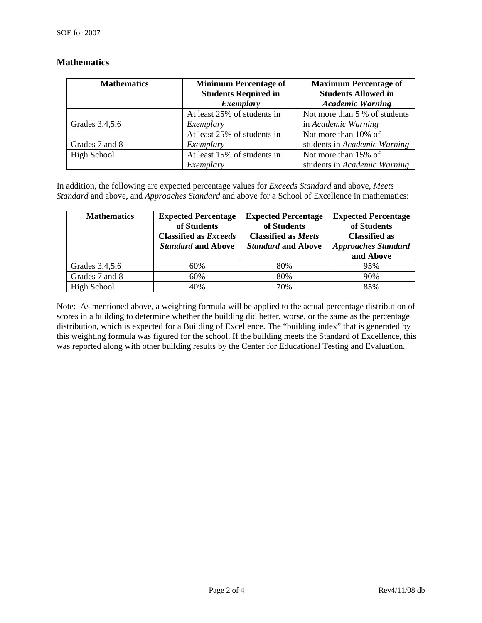| <b>Mathematics</b> | <b>Minimum Percentage of</b> | <b>Maximum Percentage of</b>  |  |
|--------------------|------------------------------|-------------------------------|--|
|                    | <b>Students Required in</b>  | <b>Students Allowed in</b>    |  |
|                    | Exemplary                    | <b>Academic Warning</b>       |  |
|                    | At least 25% of students in  | Not more than 5 % of students |  |
| Grades 3,4,5,6     | Exemplary                    | in Academic Warning           |  |
|                    | At least 25% of students in  | Not more than 10% of          |  |
| Grades 7 and 8     | Exemplary                    | students in Academic Warning  |  |
| High School        | At least 15% of students in  | Not more than 15% of          |  |
|                    | Exemplary                    | students in Academic Warning  |  |

## **Mathematics**

In addition, the following are expected percentage values for *Exceeds Standard* and above, *Meets Standard* and above, and *Approaches Standard* and above for a School of Excellence in mathematics:

| <b>Mathematics</b> | <b>Expected Percentage</b><br>of Students<br><b>Classified as Exceeds</b><br><b>Standard and Above</b> | <b>Expected Percentage</b><br>of Students<br><b>Classified as Meets</b><br><b>Standard and Above</b> | <b>Expected Percentage</b><br>of Students<br><b>Classified as</b><br><b>Approaches Standard</b><br>and Above |
|--------------------|--------------------------------------------------------------------------------------------------------|------------------------------------------------------------------------------------------------------|--------------------------------------------------------------------------------------------------------------|
| Grades 3,4,5,6     | 60%                                                                                                    | 80%                                                                                                  | 95%                                                                                                          |
| Grades 7 and 8     | 60%                                                                                                    | 80%                                                                                                  | 90%                                                                                                          |
| High School        | 40%                                                                                                    | 70%                                                                                                  | 85%                                                                                                          |

Note: As mentioned above, a weighting formula will be applied to the actual percentage distribution of scores in a building to determine whether the building did better, worse, or the same as the percentage distribution, which is expected for a Building of Excellence. The "building index" that is generated by this weighting formula was figured for the school. If the building meets the Standard of Excellence, this was reported along with other building results by the Center for Educational Testing and Evaluation.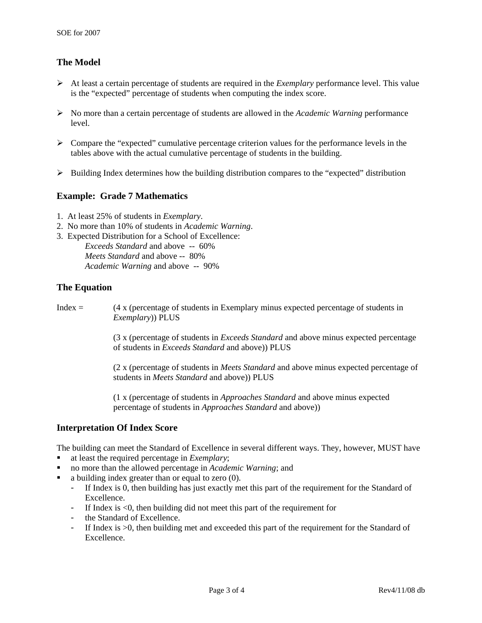# **The Model**

- ¾ At least a certain percentage of students are required in the *Exemplary* performance level. This value is the "expected" percentage of students when computing the index score.
- ¾ No more than a certain percentage of students are allowed in the *Academic Warning* performance level.
- $\triangleright$  Compare the "expected" cumulative percentage criterion values for the performance levels in the tables above with the actual cumulative percentage of students in the building.
- $\triangleright$  Building Index determines how the building distribution compares to the "expected" distribution

## **Example: Grade 7 Mathematics**

- 1. At least 25% of students in *Exemplary*.
- 2. No more than 10% of students in *Academic Warning*.
- 3. Expected Distribution for a School of Excellence:

*Exceeds Standard* and above -- 60% *Meets Standard* and above -- 80% *Academic Warning* and above -- 90%

#### **The Equation**

| $Index =$ | (4 x (percentage of students in Exemplary minus expected percentage of students in<br><i>Exemplary</i> ) PLUS                                           |
|-----------|---------------------------------------------------------------------------------------------------------------------------------------------------------|
|           | (3 x (percentage of students in <i>Exceeds Standard</i> and above minus expected percentage<br>of students in <i>Exceeds Standard</i> and above)) PLUS  |
|           | (2 x (percentage of students in <i>Meets Standard</i> and above minus expected percentage of<br>students in <i>Meets Standard</i> and above)) PLUS      |
|           | (1 x (percentage of students in <i>Approaches Standard</i> and above minus expected<br>percentage of students in <i>Approaches Standard</i> and above)) |
|           |                                                                                                                                                         |

#### **Interpretation Of Index Score**

The building can meet the Standard of Excellence in several different ways. They, however, MUST have

- at least the required percentage in *Exemplary*;
- no more than the allowed percentage in *Academic Warning*; and
- a building index greater than or equal to zero (0).
	- If Index is 0, then building has just exactly met this part of the requirement for the Standard of Excellence.
	- If Index is <0, then building did not meet this part of the requirement for
	- the Standard of Excellence.
	- If Index is >0, then building met and exceeded this part of the requirement for the Standard of Excellence.